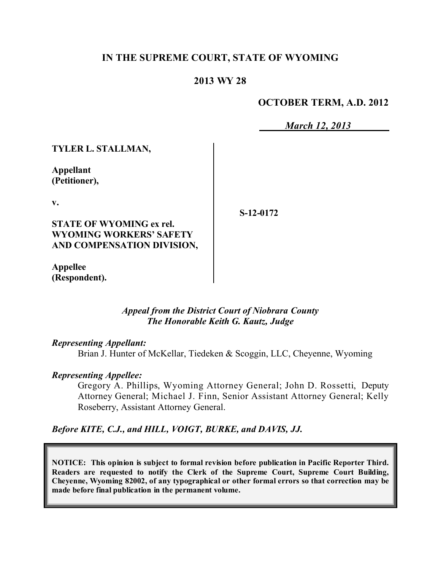## **IN THE SUPREME COURT, STATE OF WYOMING**

## **2013 WY 28**

## **OCTOBER TERM, A.D. 2012**

*March 12, 2013*

**TYLER L. STALLMAN,**

**Appellant (Petitioner),**

**v.**

**STATE OF WYOMING ex rel. WYOMING WORKERS' SAFETY AND COMPENSATION DIVISION,**

**Appellee (Respondent).** **S-12-0172**

*Appeal from the District Court of Niobrara County The Honorable Keith G. Kautz, Judge* 

### *Representing Appellant:*

Brian J. Hunter of McKellar, Tiedeken & Scoggin, LLC, Cheyenne, Wyoming

### *Representing Appellee:*

Gregory A. Phillips, Wyoming Attorney General; John D. Rossetti, Deputy Attorney General; Michael J. Finn, Senior Assistant Attorney General; Kelly Roseberry, Assistant Attorney General.

*Before KITE, C.J., and HILL, VOIGT, BURKE, and DAVIS, JJ.*

**NOTICE: This opinion is subject to formal revision before publication in Pacific Reporter Third. Readers are requested to notify the Clerk of the Supreme Court, Supreme Court Building, Cheyenne, Wyoming 82002, of any typographical or other formal errors so that correction may be made before final publication in the permanent volume.**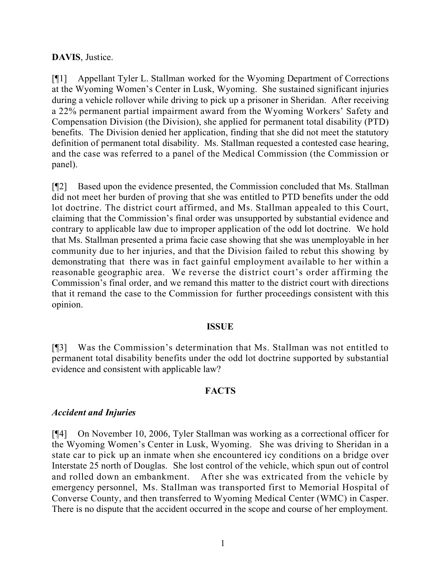### **DAVIS**, Justice.

[¶1] Appellant Tyler L. Stallman worked for the Wyoming Department of Corrections at the Wyoming Women's Center in Lusk, Wyoming. She sustained significant injuries during a vehicle rollover while driving to pick up a prisoner in Sheridan. After receiving a 22% permanent partial impairment award from the Wyoming Workers' Safety and Compensation Division (the Division), she applied for permanent total disability (PTD) benefits. The Division denied her application, finding that she did not meet the statutory definition of permanent total disability. Ms. Stallman requested a contested case hearing, and the case was referred to a panel of the Medical Commission (the Commission or panel).

[¶2] Based upon the evidence presented, the Commission concluded that Ms. Stallman did not meet her burden of proving that she was entitled to PTD benefits under the odd lot doctrine. The district court affirmed, and Ms. Stallman appealed to this Court, claiming that the Commission's final order was unsupported by substantial evidence and contrary to applicable law due to improper application of the odd lot doctrine. We hold that Ms. Stallman presented a prima facie case showing that she was unemployable in her community due to her injuries, and that the Division failed to rebut this showing by demonstrating that there was in fact gainful employment available to her within a reasonable geographic area. We reverse the district court's order affirming the Commission's final order, and we remand this matter to the district court with directions that it remand the case to the Commission for further proceedings consistent with this opinion.

### **ISSUE**

[¶3] Was the Commission's determination that Ms. Stallman was not entitled to permanent total disability benefits under the odd lot doctrine supported by substantial evidence and consistent with applicable law?

## **FACTS**

### *Accident and Injuries*

[¶4] On November 10, 2006, Tyler Stallman was working as a correctional officer for the Wyoming Women's Center in Lusk, Wyoming. She was driving to Sheridan in a state car to pick up an inmate when she encountered icy conditions on a bridge over Interstate 25 north of Douglas. She lost control of the vehicle, which spun out of control and rolled down an embankment. After she was extricated from the vehicle by emergency personnel, Ms. Stallman was transported first to Memorial Hospital of Converse County, and then transferred to Wyoming Medical Center (WMC) in Casper. There is no dispute that the accident occurred in the scope and course of her employment.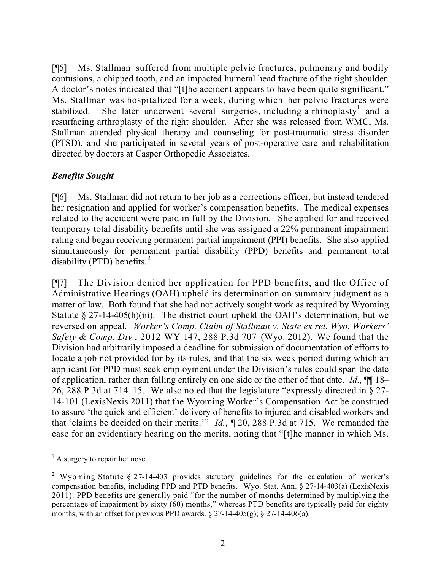[¶5] Ms. Stallman suffered from multiple pelvic fractures, pulmonary and bodily contusions, a chipped tooth, and an impacted humeral head fracture of the right shoulder. A doctor's notes indicated that "[t]he accident appears to have been quite significant." Ms. Stallman was hospitalized for a week, during which her pelvic fractures were stabilized. She later underwent several surgeries, including a rhinoplasty<sup>1</sup> and a resurfacing arthroplasty of the right shoulder. After she was released from WMC, Ms. Stallman attended physical therapy and counseling for post-traumatic stress disorder (PTSD), and she participated in several years of post-operative care and rehabilitation directed by doctors at Casper Orthopedic Associates.

## *Benefits Sought*

[¶6] Ms. Stallman did not return to her job as a corrections officer, but instead tendered her resignation and applied for worker's compensation benefits. The medical expenses related to the accident were paid in full by the Division. She applied for and received temporary total disability benefits until she was assigned a 22% permanent impairment rating and began receiving permanent partial impairment (PPI) benefits. She also applied simultaneously for permanent partial disability (PPD) benefits and permanent total disability (PTD) benefits. $^{2}$ 

[¶7] The Division denied her application for PPD benefits, and the Office of Administrative Hearings (OAH) upheld its determination on summary judgment as a matter of law. Both found that she had not actively sought work as required by Wyoming Statute  $\S 27-14-405(h)(iii)$ . The district court upheld the OAH's determination, but we reversed on appeal. *Worker's Comp. Claim of Stallman v. State ex rel. Wyo. Workers' Safety & Comp. Div.*, 2012 WY 147, 288 P.3d 707 (Wyo. 2012). We found that the Division had arbitrarily imposed a deadline for submission of documentation of efforts to locate a job not provided for by its rules, and that the six week period during which an applicant for PPD must seek employment under the Division's rules could span the date of application, rather than falling entirely on one side or the other of that date. *Id*., ¶¶ 18– 26, 288 P.3d at 714–15. We also noted that the legislature "expressly directed in § 27- 14-101 (LexisNexis 2011) that the Wyoming Worker's Compensation Act be construed to assure 'the quick and efficient' delivery of benefits to injured and disabled workers and that 'claims be decided on their merits.'" *Id.*, ¶ 20, 288 P.3d at 715. We remanded the case for an evidentiary hearing on the merits, noting that "[t]he manner in which Ms.

 $\overline{a}$ 

 $<sup>1</sup>$  A surgery to repair her nose.</sup>

<sup>2</sup> Wyoming Statute § 27-14-403 provides statutory guidelines for the calculation of worker's compensation benefits, including PPD and PTD benefits. Wyo. Stat. Ann. § 27-14-403(a) (LexisNexis 2011). PPD benefits are generally paid "for the number of months determined by multiplying the percentage of impairment by sixty (60) months," whereas PTD benefits are typically paid for eighty months, with an offset for previous PPD awards.  $\S 27-14-405(g)$ ;  $\S 27-14-406(a)$ .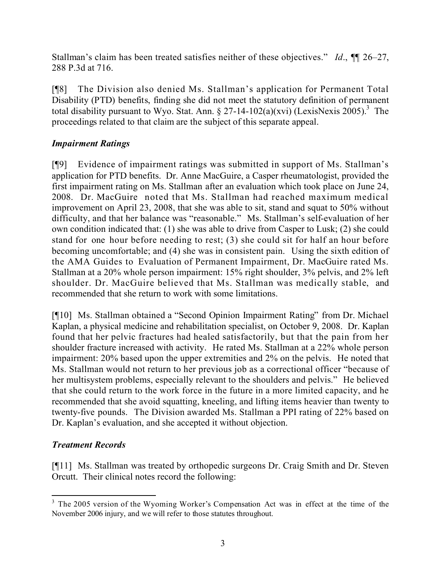Stallman's claim has been treated satisfies neither of these objectives." *Id*., ¶¶ 26–27, 288 P.3d at 716.

[¶8] The Division also denied Ms. Stallman's application for Permanent Total Disability (PTD) benefits, finding she did not meet the statutory definition of permanent total disability pursuant to Wyo. Stat. Ann. § 27-14-102(a)(xvi) (LexisNexis 2005).<sup>3</sup> The proceedings related to that claim are the subject of this separate appeal.

## *Impairment Ratings*

[¶9] Evidence of impairment ratings was submitted in support of Ms. Stallman's application for PTD benefits. Dr. Anne MacGuire, a Casper rheumatologist, provided the first impairment rating on Ms. Stallman after an evaluation which took place on June 24, 2008. Dr. MacGuire noted that Ms. Stallman had reached maximum medical improvement on April 23, 2008, that she was able to sit, stand and squat to 50% without difficulty, and that her balance was "reasonable." Ms. Stallman's self-evaluation of her own condition indicated that: (1) she was able to drive from Casper to Lusk; (2) she could stand for one hour before needing to rest; (3) she could sit for half an hour before becoming uncomfortable; and (4) she was in consistent pain. Using the sixth edition of the AMA Guides to Evaluation of Permanent Impairment, Dr. MacGuire rated Ms. Stallman at a 20% whole person impairment: 15% right shoulder, 3% pelvis, and 2% left shoulder. Dr. MacGuire believed that Ms. Stallman was medically stable, and recommended that she return to work with some limitations.

[¶10] Ms. Stallman obtained a "Second Opinion Impairment Rating" from Dr. Michael Kaplan, a physical medicine and rehabilitation specialist, on October 9, 2008. Dr. Kaplan found that her pelvic fractures had healed satisfactorily, but that the pain from her shoulder fracture increased with activity. He rated Ms. Stallman at a 22% whole person impairment: 20% based upon the upper extremities and 2% on the pelvis. He noted that Ms. Stallman would not return to her previous job as a correctional officer "because of her multisystem problems, especially relevant to the shoulders and pelvis." He believed that she could return to the work force in the future in a more limited capacity, and he recommended that she avoid squatting, kneeling, and lifting items heavier than twenty to twenty-five pounds. The Division awarded Ms. Stallman a PPI rating of 22% based on Dr. Kaplan's evaluation, and she accepted it without objection.

# *Treatment Records*

[¶11] Ms. Stallman was treated by orthopedic surgeons Dr. Craig Smith and Dr. Steven Orcutt. Their clinical notes record the following:

 $\overline{a}$ <sup>3</sup> The 2005 version of the Wyoming Worker's Compensation Act was in effect at the time of the November 2006 injury, and we will refer to those statutes throughout.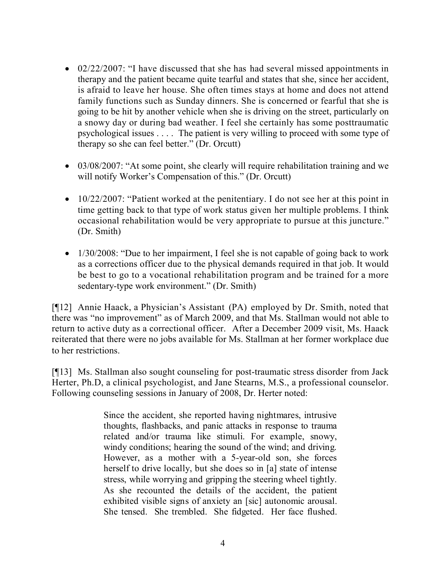- 02/22/2007: "I have discussed that she has had several missed appointments in therapy and the patient became quite tearful and states that she, since her accident, is afraid to leave her house. She often times stays at home and does not attend family functions such as Sunday dinners. She is concerned or fearful that she is going to be hit by another vehicle when she is driving on the street, particularly on a snowy day or during bad weather. I feel she certainly has some posttraumatic psychological issues . . . . The patient is very willing to proceed with some type of therapy so she can feel better." (Dr. Orcutt)
- 03/08/2007: "At some point, she clearly will require rehabilitation training and we will notify Worker's Compensation of this." (Dr. Orcutt)
- 10/22/2007: "Patient worked at the penitentiary. I do not see her at this point in time getting back to that type of work status given her multiple problems. I think occasional rehabilitation would be very appropriate to pursue at this juncture." (Dr. Smith)
- 1/30/2008: "Due to her impairment, I feel she is not capable of going back to work as a corrections officer due to the physical demands required in that job. It would be best to go to a vocational rehabilitation program and be trained for a more sedentary-type work environment." (Dr. Smith)

[¶12] Annie Haack, a Physician's Assistant (PA) employed by Dr. Smith, noted that there was "no improvement" as of March 2009, and that Ms. Stallman would not able to return to active duty as a correctional officer. After a December 2009 visit, Ms. Haack reiterated that there were no jobs available for Ms. Stallman at her former workplace due to her restrictions.

[¶13] Ms. Stallman also sought counseling for post-traumatic stress disorder from Jack Herter, Ph.D, a clinical psychologist, and Jane Stearns, M.S., a professional counselor. Following counseling sessions in January of 2008, Dr. Herter noted:

> Since the accident, she reported having nightmares, intrusive thoughts, flashbacks, and panic attacks in response to trauma related and/or trauma like stimuli. For example, snowy, windy conditions; hearing the sound of the wind; and driving. However, as a mother with a 5-year-old son, she forces herself to drive locally, but she does so in [a] state of intense stress, while worrying and gripping the steering wheel tightly. As she recounted the details of the accident, the patient exhibited visible signs of anxiety an [sic] autonomic arousal. She tensed. She trembled. She fidgeted. Her face flushed.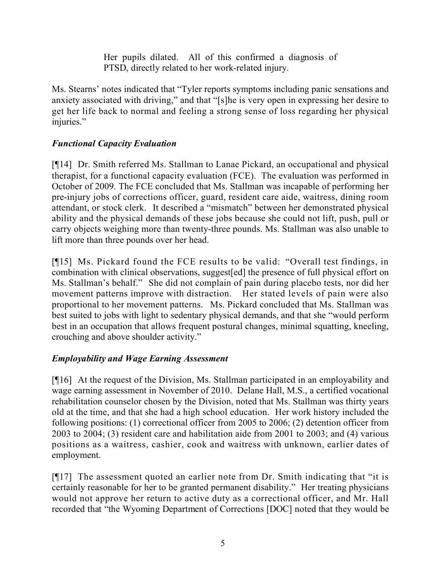Her pupils dilated. All of this confirmed a diagnosis of PTSD, directly related to her work-related injury.

Ms. Stearns' notes indicated that "Tyler reports symptoms including panic sensations and anxiety associated with driving," and that "[s]he is very open in expressing her desire to get her life back to normal and feeling a strong sense of loss regarding her physical injuries."

# *Functional Capacity Evaluation*

[¶14] Dr. Smith referred Ms. Stallman to Lanae Pickard, an occupational and physical therapist, for a functional capacity evaluation (FCE). The evaluation was performed in October of 2009. The FCE concluded that Ms. Stallman was incapable of performing her pre-injury jobs of corrections officer, guard, resident care aide, waitress, dining room attendant, or stock clerk. It described a "mismatch" between her demonstrated physical ability and the physical demands of these jobs because she could not lift, push, pull or carry objects weighing more than twenty-three pounds. Ms. Stallman was also unable to lift more than three pounds over her head.

[¶15] Ms. Pickard found the FCE results to be valid: "Overall test findings, in combination with clinical observations, suggest[ed] the presence of full physical effort on Ms. Stallman's behalf." She did not complain of pain during placebo tests, nor did her movement patterns improve with distraction. Her stated levels of pain were also proportional to her movement patterns. Ms. Pickard concluded that Ms. Stallman was best suited to jobs with light to sedentary physical demands, and that she "would perform best in an occupation that allows frequent postural changes, minimal squatting, kneeling, crouching and above shoulder activity."

# *Employability and Wage Earning Assessment*

[¶16] At the request of the Division, Ms. Stallman participated in an employability and wage earning assessment in November of 2010. Delane Hall, M.S., a certified vocational rehabilitation counselor chosen by the Division, noted that Ms. Stallman was thirty years old at the time, and that she had a high school education. Her work history included the following positions: (1) correctional officer from 2005 to 2006; (2) detention officer from 2003 to 2004; (3) resident care and habilitation aide from 2001 to 2003; and (4) various positions as a waitress, cashier, cook and waitress with unknown, earlier dates of employment.

[¶17] The assessment quoted an earlier note from Dr. Smith indicating that "it is certainly reasonable for her to be granted permanent disability." Her treating physicians would not approve her return to active duty as a correctional officer, and Mr. Hall recorded that "the Wyoming Department of Corrections [DOC] noted that they would be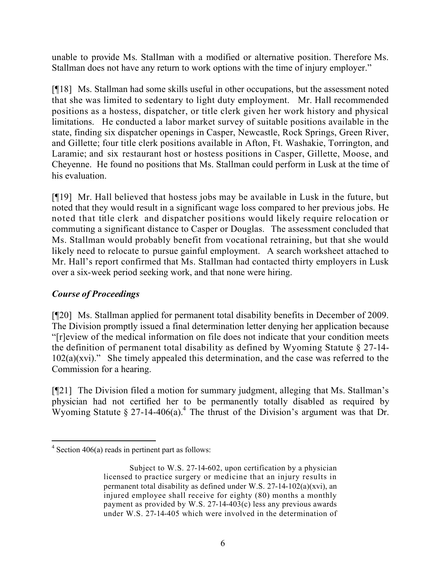unable to provide Ms. Stallman with a modified or alternative position. Therefore Ms. Stallman does not have any return to work options with the time of injury employer."

[¶18] Ms. Stallman had some skills useful in other occupations, but the assessment noted that she was limited to sedentary to light duty employment. Mr. Hall recommended positions as a hostess, dispatcher, or title clerk given her work history and physical limitations. He conducted a labor market survey of suitable positions available in the state, finding six dispatcher openings in Casper, Newcastle, Rock Springs, Green River, and Gillette; four title clerk positions available in Afton, Ft. Washakie, Torrington, and Laramie; and six restaurant host or hostess positions in Casper, Gillette, Moose, and Cheyenne. He found no positions that Ms. Stallman could perform in Lusk at the time of his evaluation.

[¶19] Mr. Hall believed that hostess jobs may be available in Lusk in the future, but noted that they would result in a significant wage loss compared to her previous jobs. He noted that title clerk and dispatcher positions would likely require relocation or commuting a significant distance to Casper or Douglas. The assessment concluded that Ms. Stallman would probably benefit from vocational retraining, but that she would likely need to relocate to pursue gainful employment. A search worksheet attached to Mr. Hall's report confirmed that Ms. Stallman had contacted thirty employers in Lusk over a six-week period seeking work, and that none were hiring.

## *Course of Proceedings*

[¶20] Ms. Stallman applied for permanent total disability benefits in December of 2009. The Division promptly issued a final determination letter denying her application because "[r]eview of the medical information on file does not indicate that your condition meets the definition of permanent total disability as defined by Wyoming Statute § 27-14-  $102(a)(xvi)$ ." She timely appealed this determination, and the case was referred to the Commission for a hearing.

[¶21] The Division filed a motion for summary judgment, alleging that Ms. Stallman's physician had not certified her to be permanently totally disabled as required by Wyoming Statute  $\S 27$ -14-406(a).<sup>4</sup> The thrust of the Division's argument was that Dr.

 $\overline{a}$  $4$  Section 406(a) reads in pertinent part as follows:

Subject to W.S. 27-14-602, upon certification by a physician licensed to practice surgery or medicine that an injury results in permanent total disability as defined under W.S.  $27-14-102(a)(xvi)$ , an injured employee shall receive for eighty (80) months a monthly payment as provided by W.S. 27-14-403(c) less any previous awards under W.S. 27-14-405 which were involved in the determination of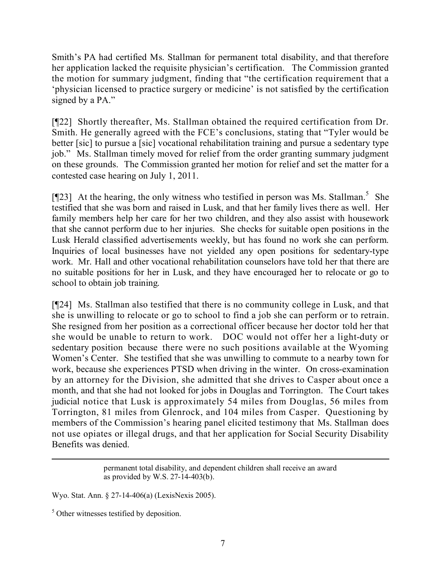Smith's PA had certified Ms. Stallman for permanent total disability, and that therefore her application lacked the requisite physician's certification. The Commission granted the motion for summary judgment, finding that "the certification requirement that a 'physician licensed to practice surgery or medicine' is not satisfied by the certification signed by a PA."

[¶22] Shortly thereafter, Ms. Stallman obtained the required certification from Dr. Smith. He generally agreed with the FCE's conclusions, stating that "Tyler would be better [sic] to pursue a [sic] vocational rehabilitation training and pursue a sedentary type job." Ms. Stallman timely moved for relief from the order granting summary judgment on these grounds. The Commission granted her motion for relief and set the matter for a contested case hearing on July 1, 2011.

[ $[23]$  At the hearing, the only witness who testified in person was Ms. Stallman.<sup>5</sup> She testified that she was born and raised in Lusk, and that her family lives there as well. Her family members help her care for her two children, and they also assist with housework that she cannot perform due to her injuries. She checks for suitable open positions in the Lusk Herald classified advertisements weekly, but has found no work she can perform. Inquiries of local businesses have not yielded any open positions for sedentary-type work. Mr. Hall and other vocational rehabilitation counselors have told her that there are no suitable positions for her in Lusk, and they have encouraged her to relocate or go to school to obtain job training.

[¶24] Ms. Stallman also testified that there is no community college in Lusk, and that she is unwilling to relocate or go to school to find a job she can perform or to retrain. She resigned from her position as a correctional officer because her doctor told her that she would be unable to return to work. DOC would not offer her a light-duty or sedentary position because there were no such positions available at the Wyoming Women's Center. She testified that she was unwilling to commute to a nearby town for work, because she experiences PTSD when driving in the winter. On cross-examination by an attorney for the Division, she admitted that she drives to Casper about once a month, and that she had not looked for jobs in Douglas and Torrington. The Court takes judicial notice that Lusk is approximately 54 miles from Douglas, 56 miles from Torrington, 81 miles from Glenrock, and 104 miles from Casper. Questioning by members of the Commission's hearing panel elicited testimony that Ms. Stallman does not use opiates or illegal drugs, and that her application for Social Security Disability Benefits was denied.

> permanent total disability, and dependent children shall receive an award as provided by W.S. 27-14-403(b).

Wyo. Stat. Ann. § 27-14-406(a) (LexisNexis 2005).

<sup>5</sup> Other witnesses testified by deposition.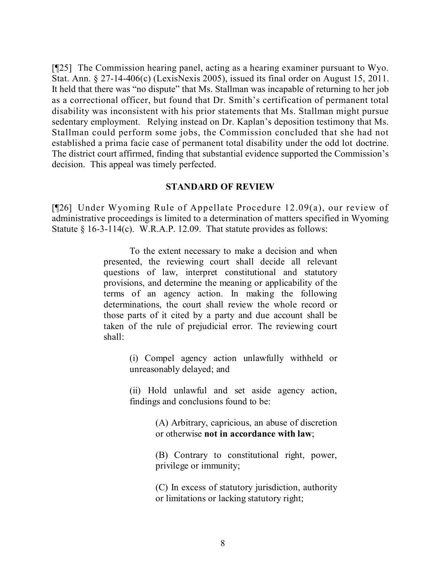[¶25] The Commission hearing panel, acting as a hearing examiner pursuant to Wyo. Stat. Ann. § 27-14-406(c) (LexisNexis 2005), issued its final order on August 15, 2011. It held that there was "no dispute" that Ms. Stallman was incapable of returning to her job as a correctional officer, but found that Dr. Smith's certification of permanent total disability was inconsistent with his prior statements that Ms. Stallman might pursue sedentary employment. Relying instead on Dr. Kaplan's deposition testimony that Ms. Stallman could perform some jobs, the Commission concluded that she had not established a prima facie case of permanent total disability under the odd lot doctrine. The district court affirmed, finding that substantial evidence supported the Commission's decision. This appeal was timely perfected.

#### **STANDARD OF REVIEW**

[¶26] Under Wyoming Rule of Appellate Procedure 12.09(a), our review of administrative proceedings is limited to a determination of matters specified in Wyoming Statute § 16-3-114(c). W.R.A.P. 12.09. That statute provides as follows:

> To the extent necessary to make a decision and when presented, the reviewing court shall decide all relevant questions of law, interpret constitutional and statutory provisions, and determine the meaning or applicability of the terms of an agency action. In making the following determinations, the court shall review the whole record or those parts of it cited by a party and due account shall be taken of the rule of prejudicial error. The reviewing court shall:

> > (i) Compel agency action unlawfully withheld or unreasonably delayed; and

> > (ii) Hold unlawful and set aside agency action, findings and conclusions found to be:

> > > (A) Arbitrary, capricious, an abuse of discretion or otherwise **not in accordance with law**;

> > > (B) Contrary to constitutional right, power, privilege or immunity;

> > > (C) In excess of statutory jurisdiction, authority or limitations or lacking statutory right;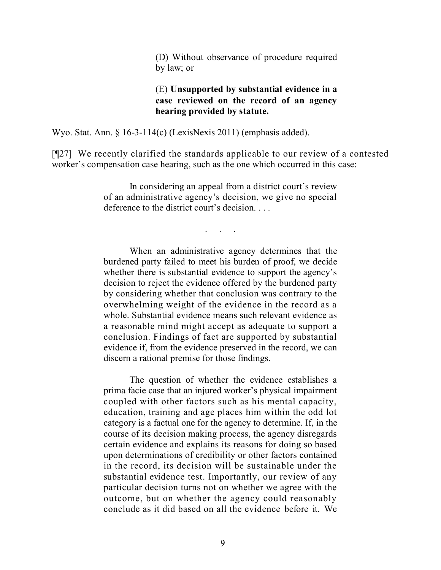(D) Without observance of procedure required by law; or

### (E) **Unsupported by substantial evidence in a case reviewed on the record of an agency hearing provided by statute.**

Wyo. Stat. Ann. § 16-3-114(c) (LexisNexis 2011) (emphasis added).

[¶27] We recently clarified the standards applicable to our review of a contested worker's compensation case hearing, such as the one which occurred in this case:

> In considering an appeal from a district court's review of an administrative agency's decision, we give no special deference to the district court's decision.

> > . . . . .

When an administrative agency determines that the burdened party failed to meet his burden of proof, we decide whether there is substantial evidence to support the agency's decision to reject the evidence offered by the burdened party by considering whether that conclusion was contrary to the overwhelming weight of the evidence in the record as a whole. Substantial evidence means such relevant evidence as a reasonable mind might accept as adequate to support a conclusion. Findings of fact are supported by substantial evidence if, from the evidence preserved in the record, we can discern a rational premise for those findings.

The question of whether the evidence establishes a prima facie case that an injured worker's physical impairment coupled with other factors such as his mental capacity, education, training and age places him within the odd lot category is a factual one for the agency to determine. If, in the course of its decision making process, the agency disregards certain evidence and explains its reasons for doing so based upon determinations of credibility or other factors contained in the record, its decision will be sustainable under the substantial evidence test. Importantly, our review of any particular decision turns not on whether we agree with the outcome, but on whether the agency could reasonably conclude as it did based on all the evidence before it. We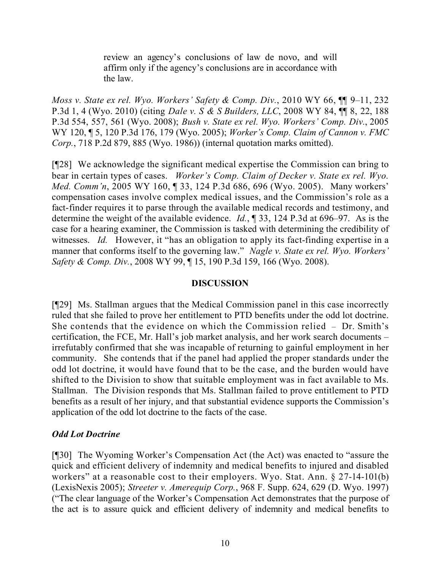review an agency's conclusions of law de novo, and will affirm only if the agency's conclusions are in accordance with the law.

*Moss v. State ex rel. Wyo. Workers' Safety & Comp. Div.*, 2010 WY 66, ¶¶ 9–11, 232 P.3d 1, 4 (Wyo. 2010) (citing *Dale v. S & S Builders, LLC*, 2008 WY 84, ¶¶ 8, 22, 188 P.3d 554, 557, 561 (Wyo. 2008); *Bush v. State ex rel. Wyo. Workers' Comp. Div.*, 2005 WY 120, ¶ 5, 120 P.3d 176, 179 (Wyo. 2005); *Worker's Comp. Claim of Cannon v. FMC Corp.*, 718 P.2d 879, 885 (Wyo. 1986)) (internal quotation marks omitted).

[¶28] We acknowledge the significant medical expertise the Commission can bring to bear in certain types of cases. *Worker's Comp. Claim of Decker v. State ex rel. Wyo. Med. Comm'n*, 2005 WY 160, ¶ 33, 124 P.3d 686, 696 (Wyo. 2005). Many workers' compensation cases involve complex medical issues, and the Commission's role as a fact-finder requires it to parse through the available medical records and testimony, and determine the weight of the available evidence. *Id.*, ¶ 33, 124 P.3d at 696–97. As is the case for a hearing examiner, the Commission is tasked with determining the credibility of witnesses. *Id.* However, it "has an obligation to apply its fact-finding expertise in a manner that conforms itself to the governing law." *Nagle v. State ex rel. Wyo. Workers' Safety & Comp. Div.*, 2008 WY 99, ¶ 15, 190 P.3d 159, 166 (Wyo. 2008).

## **DISCUSSION**

[¶29] Ms. Stallman argues that the Medical Commission panel in this case incorrectly ruled that she failed to prove her entitlement to PTD benefits under the odd lot doctrine. She contends that the evidence on which the Commission relied – Dr. Smith's certification, the FCE, Mr. Hall's job market analysis, and her work search documents – irrefutably confirmed that she was incapable of returning to gainful employment in her community. She contends that if the panel had applied the proper standards under the odd lot doctrine, it would have found that to be the case, and the burden would have shifted to the Division to show that suitable employment was in fact available to Ms. Stallman. The Division responds that Ms. Stallman failed to prove entitlement to PTD benefits as a result of her injury, and that substantial evidence supports the Commission's application of the odd lot doctrine to the facts of the case.

## *Odd Lot Doctrine*

[¶30] The Wyoming Worker's Compensation Act (the Act) was enacted to "assure the quick and efficient delivery of indemnity and medical benefits to injured and disabled workers" at a reasonable cost to their employers. Wyo. Stat. Ann. § 27-14-101(b) (LexisNexis 2005); *Streeter v. Amerequip Corp.*, 968 F. Supp. 624, 629 (D. Wyo. 1997) ("The clear language of the Worker's Compensation Act demonstrates that the purpose of the act is to assure quick and efficient delivery of indemnity and medical benefits to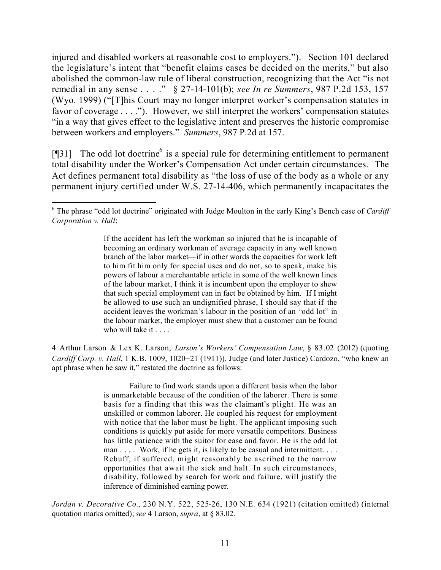injured and disabled workers at reasonable cost to employers."). Section 101 declared the legislature's intent that "benefit claims cases be decided on the merits," but also abolished the common-law rule of liberal construction, recognizing that the Act "is not remedial in any sense . . . ." § 27-14-101(b); *see In re Summers*, 987 P.2d 153, 157 (Wyo. 1999) ("[T]his Court may no longer interpret worker's compensation statutes in favor of coverage . . . ."). However, we still interpret the workers' compensation statutes "in a way that gives effect to the legislative intent and preserves the historic compromise between workers and employers." *Summers*, 987 P.2d at 157.

[ $[$ ]<sup>31</sup>] The odd lot doctrine<sup>6</sup> is a special rule for determining entitlement to permanent total disability under the Worker's Compensation Act under certain circumstances. The Act defines permanent total disability as "the loss of use of the body as a whole or any permanent injury certified under W.S. 27-14-406, which permanently incapacitates the

If the accident has left the workman so injured that he is incapable of becoming an ordinary workman of average capacity in any well known branch of the labor market—if in other words the capacities for work left to him fit him only for special uses and do not, so to speak, make his powers of labour a merchantable article in some of the well known lines of the labour market, I think it is incumbent upon the employer to shew that such special employment can in fact be obtained by him. If I might be allowed to use such an undignified phrase, I should say that if the accident leaves the workman's labour in the position of an "odd lot" in the labour market, the employer must shew that a customer can be found who will take it . . . .

4 Arthur Larson & Lex K. Larson, *Larson's Workers' Compensation Law*, § 83.02 (2012) (quoting *Cardiff Corp. v. Hall*, 1 K.B. 1009, 1020–21 (1911)). Judge (and later Justice) Cardozo, "who knew an apt phrase when he saw it," restated the doctrine as follows:

> Failure to find work stands upon a different basis when the labor is unmarketable because of the condition of the laborer. There is some basis for a finding that this was the claimant's plight. He was an unskilled or common laborer. He coupled his request for employment with notice that the labor must be light. The applicant imposing such conditions is quickly put aside for more versatile competitors. Business has little patience with the suitor for ease and favor. He is the odd lot man . . . . Work, if he gets it, is likely to be casual and intermittent. . . . Rebuff, if suffered, might reasonably be ascribed to the narrow opportunities that await the sick and halt. In such circumstances, disability, followed by search for work and failure, will justify the inference of diminished earning power.

*Jordan v. Decorative Co.*, 230 N.Y. 522, 525-26, 130 N.E. 634 (1921) (citation omitted) (internal quotation marks omitted); *see* 4 Larson, *supra*, at § 83.02.

 <sup>6</sup> The phrase "odd lot doctrine" originated with Judge Moulton in the early King's Bench case of *Cardiff Corporation v. Hall*: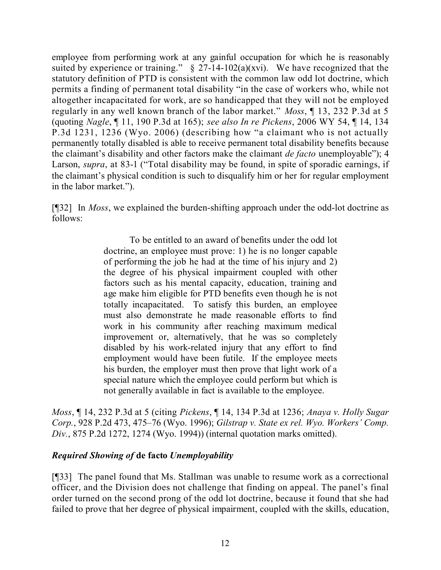employee from performing work at any gainful occupation for which he is reasonably suited by experience or training."  $\S$  27-14-102(a)(xvi). We have recognized that the statutory definition of PTD is consistent with the common law odd lot doctrine, which permits a finding of permanent total disability "in the case of workers who, while not altogether incapacitated for work, are so handicapped that they will not be employed regularly in any well known branch of the labor market." *Moss*, ¶ 13, 232 P.3d at 5 (quoting *Nagle*, ¶ 11, 190 P.3d at 165); *see also In re Pickens*, 2006 WY 54, ¶ 14, 134 P.3d 1231, 1236 (Wyo. 2006) (describing how "a claimant who is not actually permanently totally disabled is able to receive permanent total disability benefits because the claimant's disability and other factors make the claimant *de facto* unemployable"); 4 Larson, *supra*, at 83-1 ("Total disability may be found, in spite of sporadic earnings, if the claimant's physical condition is such to disqualify him or her for regular employment in the labor market.").

[¶32] In *Moss*, we explained the burden-shifting approach under the odd-lot doctrine as follows:

> To be entitled to an award of benefits under the odd lot doctrine, an employee must prove: 1) he is no longer capable of performing the job he had at the time of his injury and 2) the degree of his physical impairment coupled with other factors such as his mental capacity, education, training and age make him eligible for PTD benefits even though he is not totally incapacitated. To satisfy this burden, an employee must also demonstrate he made reasonable efforts to find work in his community after reaching maximum medical improvement or, alternatively, that he was so completely disabled by his work-related injury that any effort to find employment would have been futile. If the employee meets his burden, the employer must then prove that light work of a special nature which the employee could perform but which is not generally available in fact is available to the employee.

*Moss*, ¶ 14, 232 P.3d at 5 (citing *Pickens*, ¶ 14, 134 P.3d at 1236; *Anaya v. Holly Sugar Corp.*, 928 P.2d 473, 475–76 (Wyo. 1996); *Gilstrap v. State ex rel. Wyo. Workers' Comp. Div.*, 875 P.2d 1272, 1274 (Wyo. 1994)) (internal quotation marks omitted).

## *Required Showing of* **de facto** *Unemployability*

[¶33] The panel found that Ms. Stallman was unable to resume work as a correctional officer, and the Division does not challenge that finding on appeal. The panel's final order turned on the second prong of the odd lot doctrine, because it found that she had failed to prove that her degree of physical impairment, coupled with the skills, education,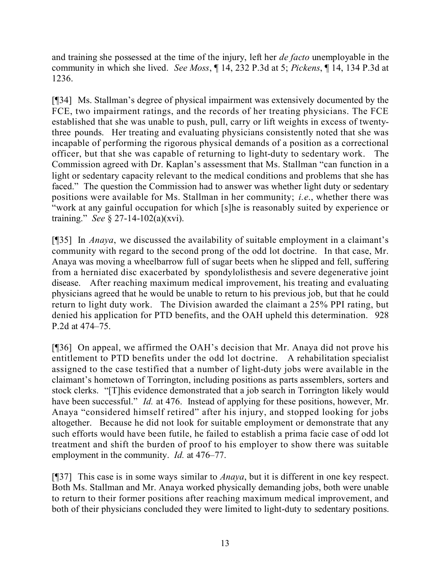and training she possessed at the time of the injury, left her *de facto* unemployable in the community in which she lived. *See Moss*, ¶ 14, 232 P.3d at 5; *Pickens*, ¶ 14, 134 P.3d at 1236.

[¶34] Ms. Stallman's degree of physical impairment was extensively documented by the FCE, two impairment ratings, and the records of her treating physicians. The FCE established that she was unable to push, pull, carry or lift weights in excess of twentythree pounds. Her treating and evaluating physicians consistently noted that she was incapable of performing the rigorous physical demands of a position as a correctional officer, but that she was capable of returning to light-duty to sedentary work. The Commission agreed with Dr. Kaplan's assessment that Ms. Stallman "can function in a light or sedentary capacity relevant to the medical conditions and problems that she has faced." The question the Commission had to answer was whether light duty or sedentary positions were available for Ms. Stallman in her community; *i.e*., whether there was "work at any gainful occupation for which [s]he is reasonably suited by experience or training." *See* § 27-14-102(a)(xvi).

[¶35] In *Anaya*, we discussed the availability of suitable employment in a claimant's community with regard to the second prong of the odd lot doctrine. In that case, Mr. Anaya was moving a wheelbarrow full of sugar beets when he slipped and fell, suffering from a herniated disc exacerbated by spondylolisthesis and severe degenerative joint disease. After reaching maximum medical improvement, his treating and evaluating physicians agreed that he would be unable to return to his previous job, but that he could return to light duty work. The Division awarded the claimant a 25% PPI rating, but denied his application for PTD benefits, and the OAH upheld this determination. 928 P.2d at 474–75.

[¶36] On appeal, we affirmed the OAH's decision that Mr. Anaya did not prove his entitlement to PTD benefits under the odd lot doctrine. A rehabilitation specialist assigned to the case testified that a number of light-duty jobs were available in the claimant's hometown of Torrington, including positions as parts assemblers, sorters and stock clerks. "[T]his evidence demonstrated that a job search in Torrington likely would have been successful." *Id.* at 476. Instead of applying for these positions, however, Mr. Anaya "considered himself retired" after his injury, and stopped looking for jobs altogether. Because he did not look for suitable employment or demonstrate that any such efforts would have been futile, he failed to establish a prima facie case of odd lot treatment and shift the burden of proof to his employer to show there was suitable employment in the community. *Id.* at 476–77.

[¶37] This case is in some ways similar to *Anaya*, but it is different in one key respect. Both Ms. Stallman and Mr. Anaya worked physically demanding jobs, both were unable to return to their former positions after reaching maximum medical improvement, and both of their physicians concluded they were limited to light-duty to sedentary positions.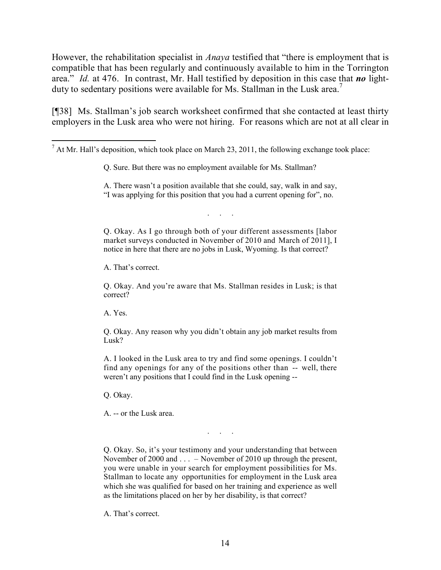However, the rehabilitation specialist in *Anaya* testified that "there is employment that is compatible that has been regularly and continuously available to him in the Torrington area." *Id.* at 476. In contrast, Mr. Hall testified by deposition in this case that *no* lightduty to sedentary positions were available for Ms. Stallman in the Lusk area.<sup>7</sup>

[¶38] Ms. Stallman's job search worksheet confirmed that she contacted at least thirty employers in the Lusk area who were not hiring. For reasons which are not at all clear in

. . . . .<br>. . . . . .

Q. Okay. As I go through both of your different assessments [labor market surveys conducted in November of 2010 and March of 2011], I notice in here that there are no jobs in Lusk, Wyoming. Is that correct?

A. That's correct.

Q. Okay. And you're aware that Ms. Stallman resides in Lusk; is that correct?

A. Yes.

 $\overline{a}$ 

Q. Okay. Any reason why you didn't obtain any job market results from Lusk?

A. I looked in the Lusk area to try and find some openings. I couldn't find any openings for any of the positions other than -- well, there weren't any positions that I could find in the Lusk opening --

Q. Okay.

A. -- or the Lusk area.

Q. Okay. So, it's your testimony and your understanding that between November of 2000 and . . . – November of 2010 up through the present, you were unable in your search for employment possibilities for Ms. Stallman to locate any opportunities for employment in the Lusk area which she was qualified for based on her training and experience as well as the limitations placed on her by her disability, is that correct?

. . .

A. That's correct.

 $<sup>7</sup>$  At Mr. Hall's deposition, which took place on March 23, 2011, the following exchange took place:</sup>

Q. Sure. But there was no employment available for Ms. Stallman?

A. There wasn't a position available that she could, say, walk in and say, "I was applying for this position that you had a current opening for", no.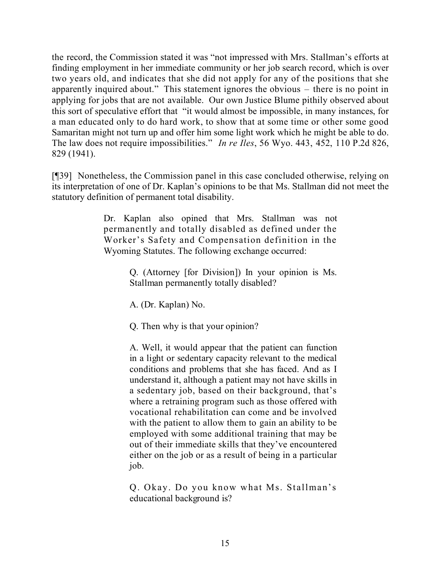the record, the Commission stated it was "not impressed with Mrs. Stallman's efforts at finding employment in her immediate community or her job search record, which is over two years old, and indicates that she did not apply for any of the positions that she apparently inquired about." This statement ignores the obvious – there is no point in applying for jobs that are not available. Our own Justice Blume pithily observed about this sort of speculative effort that "it would almost be impossible, in many instances, for a man educated only to do hard work, to show that at some time or other some good Samaritan might not turn up and offer him some light work which he might be able to do. The law does not require impossibilities." *In re Iles*, 56 Wyo. 443, 452, 110 P.2d 826, 829 (1941).

[¶39] Nonetheless, the Commission panel in this case concluded otherwise, relying on its interpretation of one of Dr. Kaplan's opinions to be that Ms. Stallman did not meet the statutory definition of permanent total disability.

> Dr. Kaplan also opined that Mrs. Stallman was not permanently and totally disabled as defined under the Worker's Safety and Compensation definition in the Wyoming Statutes. The following exchange occurred:

> > Q. (Attorney [for Division]) In your opinion is Ms. Stallman permanently totally disabled?

A. (Dr. Kaplan) No.

Q. Then why is that your opinion?

A. Well, it would appear that the patient can function in a light or sedentary capacity relevant to the medical conditions and problems that she has faced. And as I understand it, although a patient may not have skills in a sedentary job, based on their background, that's where a retraining program such as those offered with vocational rehabilitation can come and be involved with the patient to allow them to gain an ability to be employed with some additional training that may be out of their immediate skills that they've encountered either on the job or as a result of being in a particular job.

Q. Okay. Do you know what Ms. Stallman's educational background is?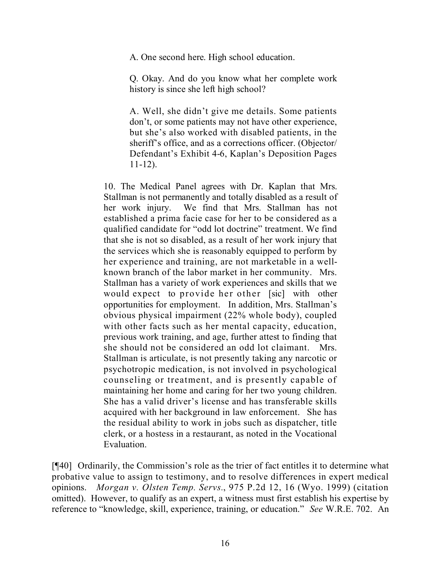A. One second here. High school education.

Q. Okay. And do you know what her complete work history is since she left high school?

A. Well, she didn't give me details. Some patients don't, or some patients may not have other experience, but she's also worked with disabled patients, in the sheriff's office, and as a corrections officer. (Objector/ Defendant's Exhibit 4-6, Kaplan's Deposition Pages 11-12).

10. The Medical Panel agrees with Dr. Kaplan that Mrs. Stallman is not permanently and totally disabled as a result of her work injury. We find that Mrs. Stallman has not established a prima facie case for her to be considered as a qualified candidate for "odd lot doctrine" treatment. We find that she is not so disabled, as a result of her work injury that the services which she is reasonably equipped to perform by her experience and training, are not marketable in a wellknown branch of the labor market in her community. Mrs. Stallman has a variety of work experiences and skills that we would expect to provide her other [sic] with other opportunities for employment. In addition, Mrs. Stallman's obvious physical impairment (22% whole body), coupled with other facts such as her mental capacity, education, previous work training, and age, further attest to finding that she should not be considered an odd lot claimant. Mrs. Stallman is articulate, is not presently taking any narcotic or psychotropic medication, is not involved in psychological counseling or treatment, and is presently capable of maintaining her home and caring for her two young children. She has a valid driver's license and has transferable skills acquired with her background in law enforcement. She has the residual ability to work in jobs such as dispatcher, title clerk, or a hostess in a restaurant, as noted in the Vocational Evaluation.

[¶40] Ordinarily, the Commission's role as the trier of fact entitles it to determine what probative value to assign to testimony, and to resolve differences in expert medical opinions. *Morgan v. Olsten Temp. Servs.*, 975 P.2d 12, 16 (Wyo. 1999) (citation omitted). However, to qualify as an expert, a witness must first establish his expertise by reference to "knowledge, skill, experience, training, or education." *See* W.R.E. 702. An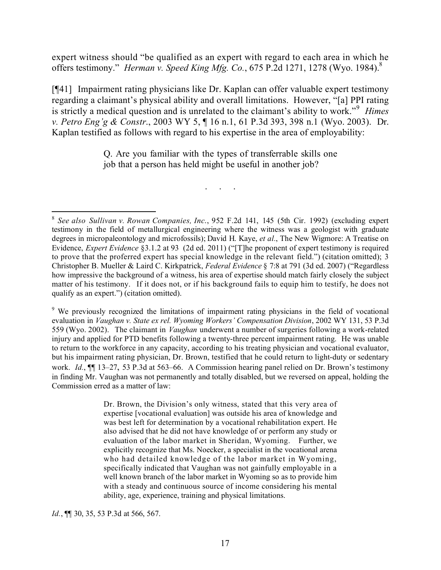expert witness should "be qualified as an expert with regard to each area in which he offers testimony." *Herman v. Speed King Mfg. Co.*, 675 P.2d 1271, 1278 (Wyo. 1984).<sup>8</sup>

[¶41] Impairment rating physicians like Dr. Kaplan can offer valuable expert testimony regarding a claimant's physical ability and overall limitations. However, "[a] PPI rating is strictly a medical question and is unrelated to the claimant's ability to work."<sup>9</sup> *Himes v. Petro Eng'g & Constr*., 2003 WY 5, ¶ 16 n.1, 61 P.3d 393, 398 n.1 (Wyo. 2003). Dr. Kaplan testified as follows with regard to his expertise in the area of employability:

> Q. Are you familiar with the types of transferrable skills one job that a person has held might be useful in another job?

> > . . . . .

 8 *See also Sullivan v. Rowan Companies, Inc*., 952 F.2d 141, 145 (5th Cir. 1992) (excluding expert testimony in the field of metallurgical engineering where the witness was a geologist with graduate degrees in micropaleontology and microfossils); David H. Kaye, *et al.*, The New Wigmore: A Treatise on Evidence, *Expert Evidence* §3.1.2 at 93 (2d ed. 2011) ("[T]he proponent of expert testimony is required to prove that the proferred expert has special knowledge in the relevant field.") (citation omitted); 3 Christopher B. Mueller & Laird C. Kirkpatrick, *Federal Evidence* § 7:8 at 791 (3d ed. 2007) ("Regardless how impressive the background of a witness, his area of expertise should match fairly closely the subject matter of his testimony. If it does not, or if his background fails to equip him to testify, he does not qualify as an expert.") (citation omitted).

<sup>9</sup> We previously recognized the limitations of impairment rating physicians in the field of vocational evaluation in *Vaughan v. State ex rel. Wyoming Workers' Compensation Division*, 2002 WY 131, 53 P.3d 559 (Wyo. 2002). The claimant in *Vaughan* underwent a number of surgeries following a work-related injury and applied for PTD benefits following a twenty-three percent impairment rating. He was unable to return to the workforce in any capacity, according to his treating physician and vocational evaluator, but his impairment rating physician, Dr. Brown, testified that he could return to light-duty or sedentary work. *Id.*, ¶¶ 13–27, 53 P.3d at 563–66. A Commission hearing panel relied on Dr. Brown's testimony in finding Mr. Vaughan was not permanently and totally disabled, but we reversed on appeal, holding the Commission erred as a matter of law:

> Dr. Brown, the Division's only witness, stated that this very area of expertise [vocational evaluation] was outside his area of knowledge and was best left for determination by a vocational rehabilitation expert. He also advised that he did not have knowledge of or perform any study or evaluation of the labor market in Sheridan, Wyoming. Further, we explicitly recognize that Ms. Noecker, a specialist in the vocational arena who had detailed knowledge of the labor market in Wyoming, specifically indicated that Vaughan was not gainfully employable in a well known branch of the labor market in Wyoming so as to provide him with a steady and continuous source of income considering his mental ability, age, experience, training and physical limitations.

*Id.*, **[11** 30, 35, 53 P.3d at 566, 567.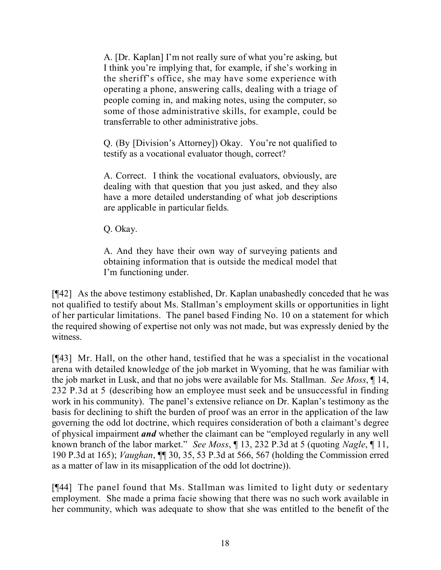A. [Dr. Kaplan] I'm not really sure of what you're asking, but I think you're implying that, for example, if she's working in the sheriff's office, she may have some experience with operating a phone, answering calls, dealing with a triage of people coming in, and making notes, using the computer, so some of those administrative skills, for example, could be transferrable to other administrative jobs.

Q. (By [Division's Attorney]) Okay. You're not qualified to testify as a vocational evaluator though, correct?

A. Correct. I think the vocational evaluators, obviously, are dealing with that question that you just asked, and they also have a more detailed understanding of what job descriptions are applicable in particular fields.

Q. Okay.

A. And they have their own way of surveying patients and obtaining information that is outside the medical model that I'm functioning under.

[¶42] As the above testimony established, Dr. Kaplan unabashedly conceded that he was not qualified to testify about Ms. Stallman's employment skills or opportunities in light of her particular limitations. The panel based Finding No. 10 on a statement for which the required showing of expertise not only was not made, but was expressly denied by the witness.

[¶43] Mr. Hall, on the other hand, testified that he was a specialist in the vocational arena with detailed knowledge of the job market in Wyoming, that he was familiar with the job market in Lusk, and that no jobs were available for Ms. Stallman. *See Moss*, ¶ 14, 232 P.3d at 5 (describing how an employee must seek and be unsuccessful in finding work in his community). The panel's extensive reliance on Dr. Kaplan's testimony as the basis for declining to shift the burden of proof was an error in the application of the law governing the odd lot doctrine, which requires consideration of both a claimant's degree of physical impairment *and* whether the claimant can be "employed regularly in any well known branch of the labor market." *See Moss*, ¶ 13, 232 P.3d at 5 (quoting *Nagle*, ¶ 11, 190 P.3d at 165); *Vaughan*, ¶¶ 30, 35, 53 P.3d at 566, 567 (holding the Commission erred as a matter of law in its misapplication of the odd lot doctrine)).

[¶44] The panel found that Ms. Stallman was limited to light duty or sedentary employment. She made a prima facie showing that there was no such work available in her community, which was adequate to show that she was entitled to the benefit of the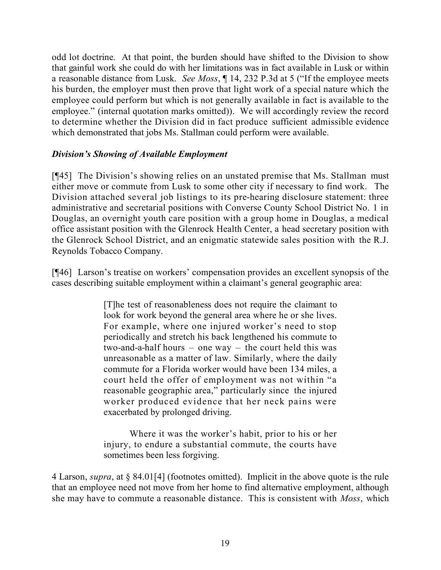odd lot doctrine. At that point, the burden should have shifted to the Division to show that gainful work she could do with her limitations was in fact available in Lusk or within a reasonable distance from Lusk. *See Moss*, ¶ 14, 232 P.3d at 5 ("If the employee meets his burden, the employer must then prove that light work of a special nature which the employee could perform but which is not generally available in fact is available to the employee." (internal quotation marks omitted)). We will accordingly review the record to determine whether the Division did in fact produce sufficient admissible evidence which demonstrated that jobs Ms. Stallman could perform were available.

## *Division's Showing of Available Employment*

[¶45] The Division's showing relies on an unstated premise that Ms. Stallman must either move or commute from Lusk to some other city if necessary to find work. The Division attached several job listings to its pre-hearing disclosure statement: three administrative and secretarial positions with Converse County School District No. 1 in Douglas, an overnight youth care position with a group home in Douglas, a medical office assistant position with the Glenrock Health Center, a head secretary position with the Glenrock School District, and an enigmatic statewide sales position with the R.J. Reynolds Tobacco Company.

[¶46] Larson's treatise on workers' compensation provides an excellent synopsis of the cases describing suitable employment within a claimant's general geographic area:

> [T]he test of reasonableness does not require the claimant to look for work beyond the general area where he or she lives. For example, where one injured worker's need to stop periodically and stretch his back lengthened his commute to two-and-a-half hours – one way – the court held this was unreasonable as a matter of law. Similarly, where the daily commute for a Florida worker would have been 134 miles, a court held the offer of employment was not within "a reasonable geographic area," particularly since the injured worker produced evidence that her neck pains were exacerbated by prolonged driving.

> Where it was the worker's habit, prior to his or her injury, to endure a substantial commute, the courts have sometimes been less forgiving.

4 Larson, *supra*, at § 84.01[4] (footnotes omitted). Implicit in the above quote is the rule that an employee need not move from her home to find alternative employment, although she may have to commute a reasonable distance. This is consistent with *Moss*, which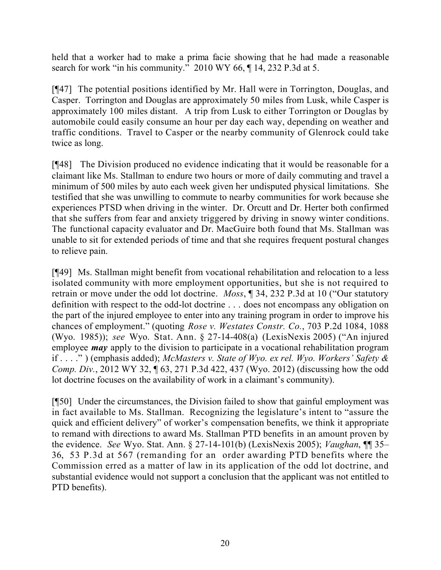held that a worker had to make a prima facie showing that he had made a reasonable search for work "in his community." 2010 WY 66,  $\P$  14, 232 P.3d at 5.

[¶47] The potential positions identified by Mr. Hall were in Torrington, Douglas, and Casper. Torrington and Douglas are approximately 50 miles from Lusk, while Casper is approximately 100 miles distant. A trip from Lusk to either Torrington or Douglas by automobile could easily consume an hour per day each way, depending on weather and traffic conditions. Travel to Casper or the nearby community of Glenrock could take twice as long.

[¶48] The Division produced no evidence indicating that it would be reasonable for a claimant like Ms. Stallman to endure two hours or more of daily commuting and travel a minimum of 500 miles by auto each week given her undisputed physical limitations. She testified that she was unwilling to commute to nearby communities for work because she experiences PTSD when driving in the winter. Dr. Orcutt and Dr. Herter both confirmed that she suffers from fear and anxiety triggered by driving in snowy winter conditions. The functional capacity evaluator and Dr. MacGuire both found that Ms. Stallman was unable to sit for extended periods of time and that she requires frequent postural changes to relieve pain.

[¶49] Ms. Stallman might benefit from vocational rehabilitation and relocation to a less isolated community with more employment opportunities, but she is not required to retrain or move under the odd lot doctrine. *Moss*, ¶ 34, 232 P.3d at 10 ("Our statutory definition with respect to the odd-lot doctrine . . . does not encompass any obligation on the part of the injured employee to enter into any training program in order to improve his chances of employment." (quoting *Rose v. Westates Constr. Co.*, 703 P.2d 1084, 1088 (Wyo. 1985)); *see* Wyo. Stat. Ann. § 27-14-408(a) (LexisNexis 2005) ("An injured employee *may* apply to the division to participate in a vocational rehabilitation program if . . . ." ) (emphasis added); *McMasters v. State of Wyo. ex rel. Wyo. Workers' Safety & Comp. Div.*, 2012 WY 32, ¶ 63, 271 P.3d 422, 437 (Wyo. 2012) (discussing how the odd lot doctrine focuses on the availability of work in a claimant's community).

[¶50] Under the circumstances, the Division failed to show that gainful employment was in fact available to Ms. Stallman. Recognizing the legislature's intent to "assure the quick and efficient delivery" of worker's compensation benefits, we think it appropriate to remand with directions to award Ms. Stallman PTD benefits in an amount proven by the evidence. *See* Wyo. Stat. Ann. § 27-14-101(b) (LexisNexis 2005); *Vaughan*, ¶¶ 35– 36, 53 P.3d at 567 (remanding for an order awarding PTD benefits where the Commission erred as a matter of law in its application of the odd lot doctrine, and substantial evidence would not support a conclusion that the applicant was not entitled to PTD benefits).